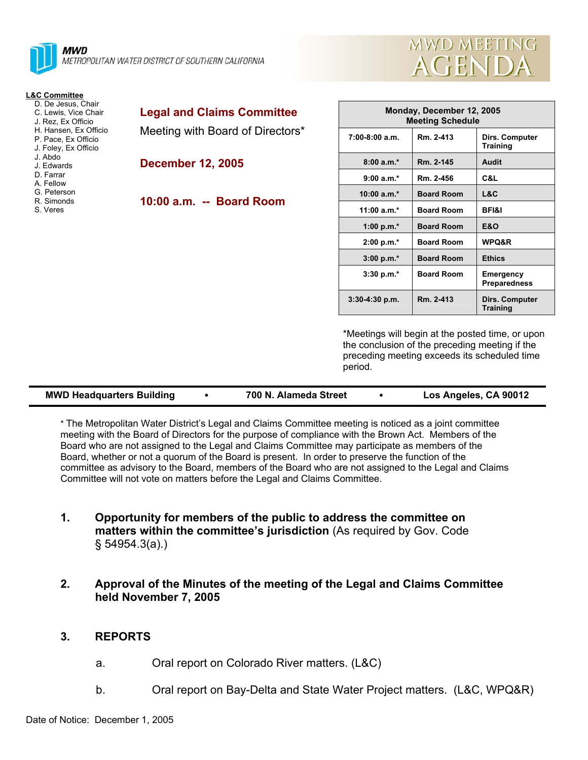



**Training** 

| <b>L&amp;C Committee</b>                                                                                                                                                                                                             |                                                      |                                                      |                   |                                          |
|--------------------------------------------------------------------------------------------------------------------------------------------------------------------------------------------------------------------------------------|------------------------------------------------------|------------------------------------------------------|-------------------|------------------------------------------|
| D. De Jesus, Chair<br>C. Lewis, Vice Chair<br>J. Rez. Ex Officio<br>H. Hansen, Ex Officio<br>P. Pace, Ex Officio<br>J. Foley, Ex Officio<br>J. Abdo<br>J. Edwards<br>D. Farrar<br>A. Fellow<br>G. Peterson<br>R. Simonds<br>S. Veres | <b>Legal and Claims Committee</b>                    | Monday, December 12, 2005<br><b>Meeting Schedule</b> |                   |                                          |
|                                                                                                                                                                                                                                      | Meeting with Board of Directors*                     | $7:00-8:00$ a.m.                                     | Rm. 2-413         | <b>Dirs. Computer</b><br><b>Training</b> |
|                                                                                                                                                                                                                                      | <b>December 12, 2005</b><br>10:00 a.m. -- Board Room | $8:00a.m.*$                                          | Rm. 2-145         | Audit                                    |
|                                                                                                                                                                                                                                      |                                                      | $9:00 a.m.*$                                         | Rm. 2-456         | C&L                                      |
|                                                                                                                                                                                                                                      |                                                      | $10:00 a.m.*$                                        | <b>Board Room</b> | L&C                                      |
|                                                                                                                                                                                                                                      |                                                      | 11:00 $a.m.*$                                        | <b>Board Room</b> | <b>BFI&amp;I</b>                         |
|                                                                                                                                                                                                                                      |                                                      | 1:00 p.m. $*$                                        | <b>Board Room</b> | <b>E&amp;O</b>                           |
|                                                                                                                                                                                                                                      |                                                      | $2:00 p.m.*$                                         | <b>Board Room</b> | WPQ&R                                    |
|                                                                                                                                                                                                                                      |                                                      | $3:00 p.m.*$                                         | <b>Board Room</b> | <b>Ethics</b>                            |
|                                                                                                                                                                                                                                      |                                                      | $3:30 p.m.*$                                         | <b>Board Room</b> | <b>Emergency</b><br><b>Preparedness</b>  |

\*Meetings will begin at the posted time, or upon the conclusion of the preceding meeting if the preceding meeting exceeds its scheduled time period.

**3:30-4:30 p.m. Rm. 2-413 Dirs. Computer** 

| <b>MWD Headquarters Building</b> |  | 700 N. Alameda Street |  | Los Angeles, CA 90012 |
|----------------------------------|--|-----------------------|--|-----------------------|
|----------------------------------|--|-----------------------|--|-----------------------|

\* The Metropolitan Water District's Legal and Claims Committee meeting is noticed as a joint committee meeting with the Board of Directors for the purpose of compliance with the Brown Act. Members of the Board who are not assigned to the Legal and Claims Committee may participate as members of the Board, whether or not a quorum of the Board is present. In order to preserve the function of the committee as advisory to the Board, members of the Board who are not assigned to the Legal and Claims Committee will not vote on matters before the Legal and Claims Committee.

- **1. Opportunity for members of the public to address the committee on matters within the committee's jurisdiction** (As required by Gov. Code § 54954.3(a).)
- **2. Approval of the Minutes of the meeting of the Legal and Claims Committee held November 7, 2005**

# **3. REPORTS**

- a. Oral report on Colorado River matters. (L&C)
- b. Oral report on Bay-Delta and State Water Project matters. (L&C, WPQ&R)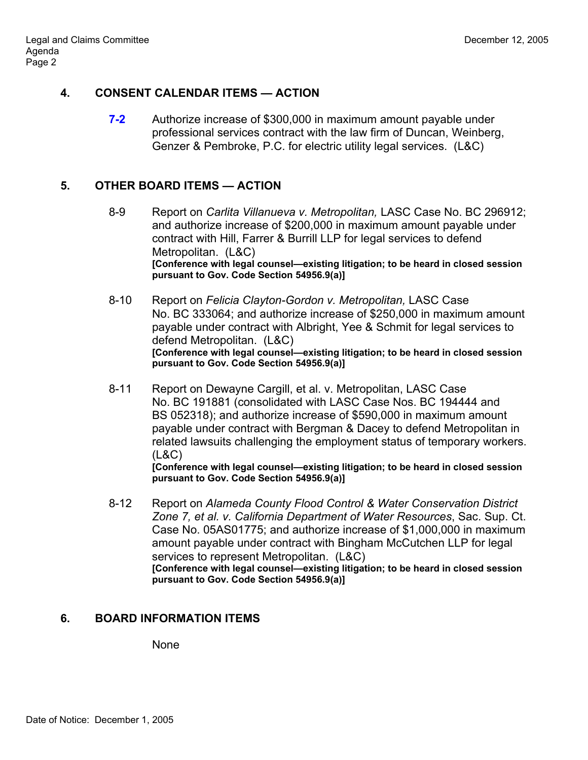# **4. CONSENT CALENDAR ITEMS — ACTION**

**7-2** Authorize increase of \$300,000 in maximum amount payable under professional services contract with the law firm of Duncan, Weinberg, Genzer & Pembroke, P.C. for electric utility legal services. (L&C)

# **5. OTHER BOARD ITEMS — ACTION**

- 8-9 Report on *Carlita Villanueva v. Metropolitan,* LASC Case No. BC 296912; and authorize increase of \$200,000 in maximum amount payable under contract with Hill, Farrer & Burrill LLP for legal services to defend Metropolitan. (L&C) **[Conference with legal counsel—existing litigation; to be heard in closed session pursuant to Gov. Code Section 54956.9(a)]**
- 8-10 Report on *Felicia Clayton-Gordon v. Metropolitan,* LASC Case No. BC 333064; and authorize increase of \$250,000 in maximum amount payable under contract with Albright, Yee & Schmit for legal services to defend Metropolitan. (L&C) **[Conference with legal counsel—existing litigation; to be heard in closed session pursuant to Gov. Code Section 54956.9(a)]**
- 8-11 Report on Dewayne Cargill, et al. v. Metropolitan, LASC Case No. BC 191881 (consolidated with LASC Case Nos. BC 194444 and BS 052318); and authorize increase of \$590,000 in maximum amount payable under contract with Bergman & Dacey to defend Metropolitan in related lawsuits challenging the employment status of temporary workers. (L&C)

**[Conference with legal counsel—existing litigation; to be heard in closed session pursuant to Gov. Code Section 54956.9(a)]**

 8-12 Report on *Alameda County Flood Control & Water Conservation District Zone 7, et al. v. California Department of Water Resources*, Sac. Sup. Ct. Case No. 05AS01775; and authorize increase of \$1,000,000 in maximum amount payable under contract with Bingham McCutchen LLP for legal services to represent Metropolitan. (L&C) **[Conference with legal counsel—existing litigation; to be heard in closed session pursuant to Gov. Code Section 54956.9(a)]** 

# **6. BOARD INFORMATION ITEMS**

None